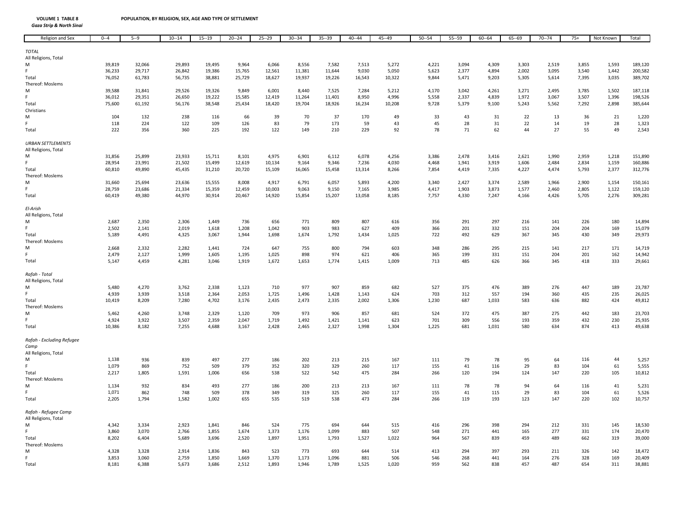| Religion and Sex          | $0 - -4$ | $5 - 9$ | $10 - 14$ | $15 - 19$ | $20 - 24$ | $25 - 29$ | $30 - 34$ | $35 - 39$ | 40--44 | 45 -- 49 | $50 - 54$ | 55 -- 59 | 60--64 | $65 - 69$ | 70--74 | $75+$ | Not Known | Total   |
|---------------------------|----------|---------|-----------|-----------|-----------|-----------|-----------|-----------|--------|----------|-----------|----------|--------|-----------|--------|-------|-----------|---------|
|                           |          |         |           |           |           |           |           |           |        |          |           |          |        |           |        |       |           |         |
| <b>TOTAL</b>              |          |         |           |           |           |           |           |           |        |          |           |          |        |           |        |       |           |         |
| All Religions, Total      |          |         |           |           |           |           |           |           |        |          |           |          |        |           |        |       |           |         |
| М                         | 39,819   | 32,066  | 29,893    | 19,495    | 9,964     | 6,066     | 8,556     | 7,582     | 7,513  | 5,272    | 4,221     | 3,094    | 4,309  | 3,303     | 2,519  | 3,855 | 1,593     | 189,120 |
| F.                        | 36,233   | 29,717  | 26,842    | 19,386    | 15,765    | 12,561    | 11,381    | 11,644    | 9,030  | 5,050    | 5,623     | 2,377    | 4,894  | 2,002     | 3,095  | 3,540 | 1,442     | 200,582 |
| Total                     | 76,052   | 61,783  | 56,735    | 38,881    | 25,729    | 18,627    | 19,937    | 19,226    | 16,543 | 10,322   | 9,844     | 5,471    | 9,203  | 5,305     | 5,614  | 7,395 | 3,035     | 389,702 |
| Thereof: Moslems          |          |         |           |           |           |           |           |           |        |          |           |          |        |           |        |       |           |         |
| М                         | 39,588   | 31,841  | 29,526    | 19,326    | 9,849     | 6,001     | 8,440     | 7,525     | 7,284  | 5,212    | 4,170     | 3,042    | 4,261  | 3,271     | 2,495  | 3,785 | 1,502     | 187,118 |
| F.                        | 36,012   | 29,351  | 26,650    | 19,222    | 15,585    | 12,419    | 11,264    | 11,401    | 8,950  | 4,996    | 5,558     | 2,337    | 4,839  | 1,972     | 3,067  | 3,507 | 1,396     | 198,526 |
|                           |          |         |           | 38,548    | 25,434    | 18,420    | 19,704    | 18,926    |        |          | 9,728     | 5,379    |        | 5,243     | 5,562  |       | 2,898     | 385,644 |
| Total                     | 75,600   | 61,192  | 56,176    |           |           |           |           |           | 16,234 | 10,208   |           |          | 9,100  |           |        | 7,292 |           |         |
| Christians                |          |         |           |           |           |           |           |           |        |          |           |          |        |           |        |       |           |         |
| М<br>F.                   | 104      | 132     | 238       | 116       | 66        | 39        | 70        | 37        | 170    | 49       | 33        | 43       | 31     | 22        | 13     | 36    | 21        | 1,220   |
|                           | 118      | 224     | 122       | 109       | 126       | 83        | 79        | 173       | 59     | 43       | 45        | 28       | 31     | 22        | 14     | 19    | 28        | 1,323   |
| Total                     | 222      | 356     | 360       | 225       | 192       | 122       | 149       | 210       | 229    | 92       | 78        | 71       | 62     | 44        | 27     | 55    | 49        | 2,543   |
|                           |          |         |           |           |           |           |           |           |        |          |           |          |        |           |        |       |           |         |
| <b>URBAN SETTLEMENTS</b>  |          |         |           |           |           |           |           |           |        |          |           |          |        |           |        |       |           |         |
| All Religions, Total      |          |         |           |           |           |           |           |           |        |          |           |          |        |           |        |       |           |         |
| M                         | 31,856   | 25,899  | 23,933    | 15,711    | 8,101     | 4,975     | 6,901     | 6,112     | 6,078  | 4,256    | 3,386     | 2,478    | 3,416  | 2,621     | 1,990  | 2,959 | 1,218     | 151,890 |
| F                         | 28,954   | 23,991  | 21,502    | 15,499    | 12,619    | 10,134    | 9,164     | 9,346     | 7,236  | 4,030    | 4,468     | 1,941    | 3,919  | 1,606     | 2,484  | 2,834 | 1,159     | 160,886 |
| Total                     | 60,810   | 49,890  | 45,435    | 31,210    | 20,720    | 15,109    | 16,065    | 15,458    | 13,314 | 8,266    | 7,854     | 4,419    | 7,335  | 4,227     | 4,474  | 5,793 | 2,377     | 312,776 |
| Thereof: Moslems          |          |         |           |           |           |           |           |           |        |          |           |          |        |           |        |       |           |         |
| м                         | 31,660   | 25,694  | 23,636    | 15,555    | 8,008     | 4,917     | 6,791     | 6,057     | 5,893  | 4,200    | 3,340     | 2,427    | 3,374  | 2,589     | 1,966  | 2,900 | 1,154     | 150,161 |
| F.                        | 28,759   | 23,686  | 21,334    | 15,359    | 12,459    | 10,003    | 9,063     | 9,150     | 7,165  | 3,985    | 4,417     | 1,903    | 3,873  | 1,577     | 2,460  | 2,805 | 1,122     | 159,120 |
| Total                     | 60,419   | 49,380  | 44,970    | 30,914    | 20,467    | 14,920    | 15,854    | 15,207    | 13,058 | 8,185    | 7,757     | 4,330    | 7,247  | 4,166     | 4,426  | 5,705 | 2,276     | 309,281 |
|                           |          |         |           |           |           |           |           |           |        |          |           |          |        |           |        |       |           |         |
| El-Arish                  |          |         |           |           |           |           |           |           |        |          |           |          |        |           |        |       |           |         |
| All Religions, Total      |          |         |           |           |           |           |           |           |        |          |           |          |        |           |        |       |           |         |
| M                         | 2,687    | 2,350   | 2,306     | 1,449     | 736       | 656       | 771       | 809       | 807    | 616      | 356       | 291      | 297    | 216       | 141    | 226   | 180       | 14,894  |
| F.                        | 2,502    | 2,141   | 2,019     | 1,618     | 1,208     | 1,042     | 903       | 983       | 627    | 409      | 366       | 201      | 332    | 151       | 204    | 204   | 169       | 15,079  |
| Total                     | 5,189    | 4,491   | 4,325     | 3,067     | 1,944     | 1,698     | 1,674     | 1,792     | 1,434  | 1,025    | 722       | 492      | 629    | 367       | 345    | 430   | 349       | 29,973  |
| Thereof: Moslems          |          |         |           |           |           |           |           |           |        |          |           |          |        |           |        |       |           |         |
| M                         | 2,668    | 2,332   | 2,282     | 1,441     | 724       | 647       | 755       | 800       | 794    | 603      | 348       | 286      | 295    | 215       | 141    | 217   | 171       | 14,719  |
| F.                        | 2,479    | 2,127   | 1,999     | 1,605     | 1,195     | 1,025     | 898       | 974       | 621    | 406      | 365       | 199      | 331    | 151       | 204    | 201   | 162       | 14,942  |
| Total                     | 5,147    | 4,459   | 4,281     | 3,046     | 1,919     | 1,672     | 1,653     | 1,774     | 1,415  | 1,009    | 713       | 485      | 626    | 366       | 345    | 418   | 333       | 29,661  |
|                           |          |         |           |           |           |           |           |           |        |          |           |          |        |           |        |       |           |         |
| Rafah - Total             |          |         |           |           |           |           |           |           |        |          |           |          |        |           |        |       |           |         |
| All Religions, Total      |          |         |           |           |           |           |           |           |        |          |           |          |        |           |        |       |           |         |
| M                         | 5,480    | 4,270   | 3,762     | 2,338     | 1,123     | 710       | 977       | 907       | 859    | 682      | 527       | 375      | 476    | 389       | 276    | 447   | 189       | 23,787  |
| F                         | 4,939    | 3,939   | 3,518     | 2,364     | 2,053     | 1,725     | 1,496     | 1,428     | 1,143  | 624      | 703       | 312      | 557    | 194       | 360    | 435   | 235       | 26,025  |
| Total                     | 10,419   | 8,209   | 7,280     | 4,702     | 3,176     | 2,435     | 2,473     | 2,335     | 2,002  | 1,306    | 1,230     | 687      | 1,033  | 583       | 636    | 882   | 424       | 49,812  |
| Thereof: Moslems          |          |         |           |           |           |           |           |           |        |          |           |          |        |           |        |       |           |         |
| M                         | 5,462    | 4,260   | 3,748     | 2,329     | 1,120     | 709       | 973       | 906       | 857    | 681      | 524       | 372      | 475    | 387       | 275    | 442   | 183       |         |
| F.                        |          |         |           |           |           |           |           |           |        |          |           |          |        |           |        |       |           | 23,703  |
|                           | 4,924    | 3,922   | 3,507     | 2,359     | 2,047     | 1,719     | 1,492     | 1,421     | 1,141  | 623      | 701       | 309      | 556    | 193       | 359    | 432   | 230       | 25,935  |
| Total                     | 10,386   | 8,182   | 7,255     | 4,688     | 3,167     | 2,428     | 2,465     | 2,327     | 1,998  | 1,304    | 1,225     | 681      | 1,031  | 580       | 634    | 874   | 413       | 49,638  |
|                           |          |         |           |           |           |           |           |           |        |          |           |          |        |           |        |       |           |         |
| Rafah - Excluding Refugee |          |         |           |           |           |           |           |           |        |          |           |          |        |           |        |       |           |         |
| Camp                      |          |         |           |           |           |           |           |           |        |          |           |          |        |           |        |       |           |         |
| All Religions, Total      |          |         |           |           |           |           |           |           |        |          |           |          |        |           |        |       |           |         |
| M                         | 1,138    | 936     | 839       | 497       | 277       | 186       | 202       | 213       | 215    | 167      | 111       | 79       | 78     | 95        | 64     | 116   | 44        | 5,257   |
| F.                        | 1,079    | 869     | 752       | 509       | 379       | 352       | 320       | 329       | 260    | 117      | 155       | 41       | 116    | 29        | 83     | 104   | 61        | 5,555   |
| Total                     | 2,217    | 1,805   | 1,591     | 1,006     | 656       | 538       | 522       | 542       | 475    | 284      | 266       | 120      | 194    | 124       | 147    | 220   | 105       | 10,812  |
| Thereof: Moslems          |          |         |           |           |           |           |           |           |        |          |           |          |        |           |        |       |           |         |
| М                         | 1,134    | 932     | 834       | 493       | 277       | 186       | 200       | 213       | 213    | 167      | 111       | 78       | 78     | 94        | 64     | 116   | 41        | 5,231   |
| F.                        | 1,071    | 862     | 748       | 509       | 378       | 349       | 319       | 325       | 260    | 117      | 155       | 41       | 115    | 29        | 83     | 104   | 61        | 5,526   |
| Total                     | 2,205    | 1,794   | 1,582     | 1,002     | 655       | 535       | 519       | 538       | 473    | 284      | 266       | 119      | 193    | 123       | 147    | 220   | 102       | 10,757  |
|                           |          |         |           |           |           |           |           |           |        |          |           |          |        |           |        |       |           |         |
| Rafah - Refugee Camp      |          |         |           |           |           |           |           |           |        |          |           |          |        |           |        |       |           |         |
| All Religions, Total      |          |         |           |           |           |           |           |           |        |          |           |          |        |           |        |       |           |         |
| M                         | 4,342    | 3,334   | 2,923     | 1,841     | 846       | 524       | 775       | 694       | 644    | 515      | 416       | 296      | 398    | 294       | 212    | 331   | 145       | 18,530  |
| F.                        | 3,860    | 3,070   | 2,766     | 1,855     | 1,674     | 1,373     | 1,176     | 1,099     | 883    | 507      | 548       | 271      | 441    | 165       | 277    | 331   | 174       | 20,470  |
| Total                     | 8,202    | 6,404   | 5,689     | 3,696     | 2,520     | 1,897     | 1,951     | 1,793     | 1,527  | 1,022    | 964       | 567      | 839    | 459       | 489    | 662   | 319       | 39,000  |
| Thereof: Moslems          |          |         |           |           |           |           |           |           |        |          |           |          |        |           |        |       |           |         |
| M                         | 4,328    | 3,328   | 2,914     | 1,836     | 843       | 523       | 773       | 693       | 644    | 514      | 413       | 294      | 397    | 293       | 211    | 326   | 142       | 18,472  |
| F.                        | 3,853    | 3,060   | 2,759     | 1,850     | 1,669     | 1,370     | 1,173     | 1.096     | 881    | 506      | 546       | 268      | 441    | 164       | 276    | 328   | 169       | 20,409  |
| Total                     | 8,181    | 6,388   | 5,673     | 3,686     | 2,512     | 1,893     | 1,946     | 1,789     | 1,525  | 1,020    | 959       | 562      | 838    | 457       | 487    | 654   | 311       | 38,881  |
|                           |          |         |           |           |           |           |           |           |        |          |           |          |        |           |        |       |           |         |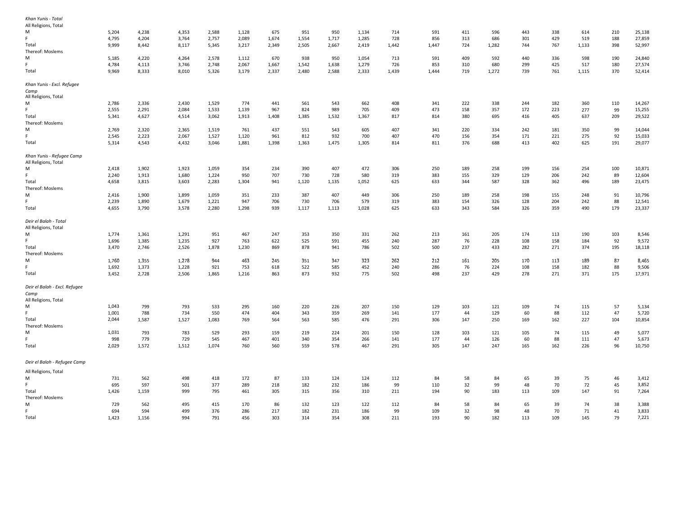| Khan Yunis - Total                                |       |       |       |       |       |       |       |       |       |       |       |     |       |     |     |       |     |        |
|---------------------------------------------------|-------|-------|-------|-------|-------|-------|-------|-------|-------|-------|-------|-----|-------|-----|-----|-------|-----|--------|
| All Religions, Total                              |       |       |       |       |       |       |       |       |       |       |       |     |       |     |     |       |     |        |
| м                                                 | 5,204 | 4,238 | 4,353 | 2,588 | 1,128 | 675   | 951   | 950   | 1,134 | 714   | 591   | 411 | 596   | 443 | 338 | 614   | 210 | 25,138 |
|                                                   | 4,795 | 4,204 | 3,764 | 2,757 | 2,089 | 1,674 | 1,554 | 1,717 | 1,285 | 728   | 856   | 313 | 686   | 301 | 429 | 519   | 188 | 27,859 |
| Total                                             | 9,999 | 8,442 | 8,117 | 5,345 | 3,217 | 2,349 | 2,505 | 2,667 | 2,419 | 1,442 | 1,447 | 724 | 1,282 | 744 | 767 | 1,133 | 398 | 52,997 |
| Thereof: Moslems                                  |       |       |       |       |       |       |       |       |       |       |       |     |       |     |     |       |     |        |
| м                                                 | 5,185 | 4,220 | 4,264 | 2,578 | 1,112 | 670   | 938   | 950   | 1,054 | 713   | 591   | 409 | 592   | 440 | 336 | 598   | 190 | 24,840 |
| Ė.                                                | 4,784 | 4,113 | 3,746 | 2,748 | 2,067 | 1,667 | 1,542 | 1,638 | 1,279 | 726   | 853   | 310 | 680   | 299 | 425 | 517   | 180 | 27,574 |
| Total                                             | 9,969 | 8,333 | 8,010 | 5,326 | 3,179 | 2,337 | 2,480 | 2,588 | 2,333 | 1,439 | 1,444 | 719 | 1,272 | 739 | 761 | 1,115 | 370 | 52,414 |
| Khan Yunis - Excl. Refugee                        |       |       |       |       |       |       |       |       |       |       |       |     |       |     |     |       |     |        |
| Camp<br>All Religions, Total                      |       |       |       |       |       |       |       |       |       |       |       |     |       |     |     |       |     |        |
| м                                                 | 2,786 | 2,336 | 2,430 | 1,529 | 774   | 441   | 561   | 543   | 662   | 408   | 341   | 222 | 338   | 244 | 182 | 360   | 110 | 14,267 |
| Ė.                                                | 2,555 | 2,291 | 2,084 | 1,533 | 1,139 | 967   | 824   | 989   | 705   | 409   | 473   | 158 | 357   | 172 | 223 | 277   | 99  | 15,255 |
|                                                   |       |       |       |       |       |       |       |       |       |       |       |     |       |     |     |       |     |        |
| Total                                             | 5,341 | 4,627 | 4,514 | 3,062 | 1,913 | 1,408 | 1,385 | 1,532 | 1,367 | 817   | 814   | 380 | 695   | 416 | 405 | 637   | 209 | 29,522 |
| Thereof: Moslems                                  |       |       |       |       |       |       |       |       |       |       |       |     |       |     |     |       |     |        |
| M                                                 | 2,769 | 2,320 | 2,365 | 1,519 | 761   | 437   | 551   | 543   | 605   | 407   | 341   | 220 | 334   | 242 | 181 | 350   | 99  | 14,044 |
|                                                   | 2,545 | 2,223 | 2,067 | 1,527 | 1,120 | 961   | 812   | 932   | 700   | 407   | 470   | 156 | 354   | 171 | 221 | 275   | 92  | 15,033 |
| Total                                             | 5,314 | 4,543 | 4,432 | 3,046 | 1,881 | 1,398 | 1,363 | 1,475 | 1,305 | 814   | 811   | 376 | 688   | 413 | 402 | 625   | 191 | 29,077 |
| Khan Yunis - Refugee Camp<br>All Religions, Total |       |       |       |       |       |       |       |       |       |       |       |     |       |     |     |       |     |        |
| м                                                 | 2,418 | 1,902 | 1,923 | 1,059 | 354   | 234   | 390   | 407   | 472   | 306   | 250   | 189 | 258   | 199 | 156 | 254   | 100 | 10,871 |
|                                                   |       |       |       |       |       |       |       |       |       |       |       |     |       |     |     |       |     |        |
| F                                                 | 2,240 | 1,913 | 1,680 | 1,224 | 950   | 707   | 730   | 728   | 580   | 319   | 383   | 155 | 329   | 129 | 206 | 242   | 89  | 12,604 |
| Total                                             | 4,658 | 3,815 | 3,603 | 2,283 | 1,304 | 941   | 1,120 | 1,135 | 1,052 | 625   | 633   | 344 | 587   | 328 | 362 | 496   | 189 | 23,475 |
| Thereof: Moslems                                  |       |       |       |       |       |       |       |       |       |       |       |     |       |     |     |       |     |        |
| M                                                 | 2,416 | 1,900 | 1,899 | 1,059 | 351   | 233   | 387   | 407   | 449   | 306   | 250   | 189 | 258   | 198 | 155 | 248   | 91  | 10,796 |
| Ė.                                                | 2,239 | 1,890 | 1,679 | 1,221 | 947   | 706   | 730   | 706   | 579   | 319   | 383   | 154 | 326   | 128 | 204 | 242   | 88  | 12,541 |
| Total                                             | 4,655 | 3,790 | 3,578 | 2,280 | 1,298 | 939   | 1,117 | 1,113 | 1,028 | 625   | 633   | 343 | 584   | 326 | 359 | 490   | 179 | 23,337 |
| Deir el Balah - Total<br>All Religions, Total     |       |       |       |       |       |       |       |       |       |       |       |     |       |     |     |       |     |        |
| M                                                 | 1,774 | 1,361 | 1,291 | 951   | 467   | 247   | 353   | 350   | 331   | 262   | 213   | 161 | 205   | 174 | 113 | 190   | 103 | 8,546  |
|                                                   | 1,696 | 1,385 | 1,235 | 927   | 763   | 622   | 525   | 591   | 455   | 240   | 287   | 76  | 228   | 108 | 158 | 184   | 92  | 9,572  |
|                                                   |       |       |       |       |       |       |       |       |       |       |       |     |       |     |     |       |     |        |
| Total                                             | 3,470 | 2,746 | 2,526 | 1,878 | 1,230 | 869   | 878   | 941   | 786   | 502   | 500   | 237 | 433   | 282 | 271 | 374   | 195 | 18,118 |
| Thereof: Moslems                                  |       |       |       |       |       |       |       |       |       |       |       |     |       |     |     |       |     |        |
| м                                                 | 1,760 | 1,355 | 1,278 | 944   | 463   | 245   | 351   | 347   | 323   | 262   | 212   | 161 | 205   | 170 | 113 | 189   | 87  | 8,465  |
| F                                                 | 1,692 | 1,373 | 1,228 | 921   | 753   | 618   | 522   | 585   | 452   | 240   | 286   | 76  | 224   | 108 | 158 | 182   | 88  | 9,506  |
| Total                                             | 3,452 | 2,728 | 2,506 | 1,865 | 1,216 | 863   | 873   | 932   | 775   | 502   | 498   | 237 | 429   | 278 | 271 | 371   | 175 | 17,971 |
| Deir el Balah - Excl. Refugee                     |       |       |       |       |       |       |       |       |       |       |       |     |       |     |     |       |     |        |
| Camp<br>All Religions, Total                      |       |       |       |       |       |       |       |       |       |       |       |     |       |     |     |       |     |        |
| м                                                 | 1,043 | 799   | 793   | 533   | 295   | 160   | 220   | 226   | 207   | 150   | 129   | 103 | 121   | 109 | 74  | 115   | 57  | 5,134  |
|                                                   | 1,001 | 788   | 734   | 550   | 474   | 404   | 343   | 359   | 269   | 141   | 177   | 44  | 129   | 60  | 88  | 112   | 47  | 5,720  |
| Total                                             | 2,044 | 1,587 | 1,527 | 1,083 | 769   | 564   | 563   | 585   | 476   | 291   | 306   | 147 | 250   | 169 | 162 | 227   | 104 | 10,854 |
| Thereof: Moslems                                  |       |       |       |       |       |       |       |       |       |       |       |     |       |     |     |       |     |        |
| м                                                 | 1,031 | 793   | 783   | 529   | 293   | 159   | 219   |       | 201   | 150   | 128   | 103 | 121   | 105 | 74  |       | 49  | 5,077  |
|                                                   |       |       |       |       |       |       |       | 224   |       |       |       |     |       |     |     | 115   |     |        |
|                                                   | 998   | 779   | 729   | 545   | 467   | 401   | 340   | 354   | 266   | 141   | 177   | 44  | 126   | 60  | 88  | 111   | 47  | 5,673  |
| Total                                             | 2,029 | 1,572 | 1,512 | 1,074 | 760   | 560   | 559   | 578   | 467   | 291   | 305   | 147 | 247   | 165 | 162 | 226   | 96  | 10,750 |
| Deir el Balah - Refugee Camp                      |       |       |       |       |       |       |       |       |       |       |       |     |       |     |     |       |     |        |
| All Religions, Total                              |       |       |       |       |       |       |       |       |       |       |       |     |       |     |     |       |     |        |
| M                                                 | 731   | 562   | 498   | 418   | 172   | 87    | 133   | 124   | 124   | 112   | 84    | 58  | 84    | 65  | 39  | 75    | 46  | 3,412  |
| F                                                 |       |       |       |       |       |       |       |       |       |       |       |     |       |     |     |       |     |        |
|                                                   | 695   | 597   | 501   | 377   | 289   | 218   | 182   | 232   | 186   | 99    | 110   | 32  | 99    | 48  | 70  | 72    | 45  | 3,852  |
| Total                                             | 1,426 | 1,159 | 999   | 795   | 461   | 305   | 315   | 356   | 310   | 211   | 194   | 90  | 183   | 113 | 109 | 147   | 91  | 7,264  |
| Thereof: Moslems                                  |       |       |       |       |       |       |       |       |       |       |       |     |       |     |     |       |     |        |
| M                                                 | 729   | 562   | 495   | 415   | 170   | 86    | 132   | 123   | 122   | 112   | 84    | 58  | 84    | 65  | 39  | 74    | 38  | 3,388  |
|                                                   | 694   | 594   | 499   | 376   | 286   | 217   | 182   | 231   | 186   | 99    | 109   | 32  | 98    | 48  | 70  | 71    | 41  | 3,833  |
| Total                                             | 1,423 | 1,156 | 994   | 791   | 456   | 303   | 314   | 354   | 308   | 211   | 193   | 90  | 182   | 113 | 109 | 145   | 79  | 7,221  |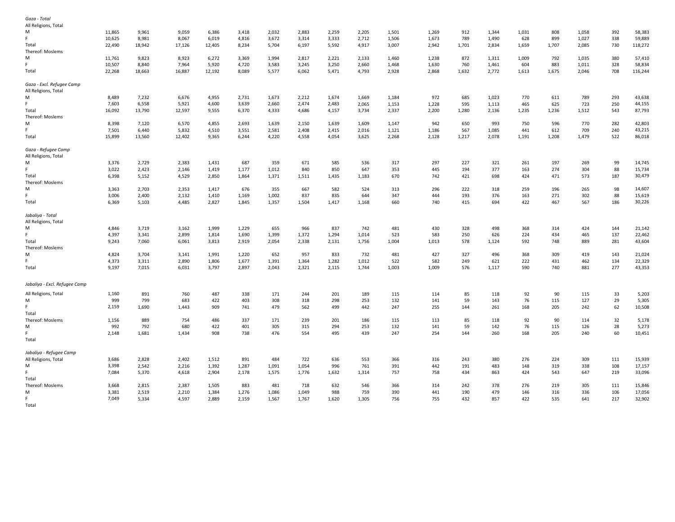| Gaza - Total<br>All Religions, Total              |        |        |        |        |       |       |       |       |       |       |       |       |       |       |       |       |     |         |
|---------------------------------------------------|--------|--------|--------|--------|-------|-------|-------|-------|-------|-------|-------|-------|-------|-------|-------|-------|-----|---------|
| M                                                 | 11,865 | 9,961  | 9,059  | 6,386  | 3,418 | 2,032 | 2,883 | 2,259 | 2,205 | 1,501 | 1,269 | 912   | 1,344 | 1,031 | 808   | 1,058 | 392 | 58,383  |
| F.                                                | 10,625 | 8,981  | 8,067  | 6,019  | 4,816 | 3,672 | 3,314 | 3,333 | 2,712 | 1,506 | 1,673 | 789   | 1,490 | 628   | 899   | 1,027 | 338 | 59,889  |
| Total                                             | 22,490 | 18,942 | 17,126 | 12,405 | 8,234 | 5,704 | 6,197 | 5,592 | 4,917 | 3,007 | 2,942 | 1,701 | 2,834 | 1,659 | 1,707 | 2,085 | 730 | 118,272 |
| Thereof: Moslems                                  |        |        |        |        |       |       |       |       |       |       |       |       |       |       |       |       |     |         |
| M                                                 | 11,761 | 9,823  | 8,923  | 6,272  | 3,369 | 1,994 | 2,817 | 2,221 | 2,133 | 1,460 | 1,238 | 872   | 1,311 | 1,009 | 792   | 1,035 | 380 | 57,410  |
| F                                                 | 10,507 | 8,840  | 7,964  | 5,920  | 4,720 | 3,583 | 3,245 | 3,250 | 2,660 | 1,468 | 1,630 | 760   | 1,461 | 604   | 883   | 1,011 | 328 | 58,834  |
| Total                                             | 22,268 | 18,663 | 16,887 | 12,192 | 8,089 | 5,577 | 6,062 | 5,471 | 4,793 | 2,928 | 2,868 | 1,632 | 2,772 | 1,613 | 1,675 | 2,046 | 708 | 116,244 |
|                                                   |        |        |        |        |       |       |       |       |       |       |       |       |       |       |       |       |     |         |
| Gaza - Excl. Refugee Camp<br>All Religions, Total |        |        |        |        |       |       |       |       |       |       |       |       |       |       |       |       |     |         |
| M                                                 | 8,489  | 7,232  | 6,676  | 4,955  | 2,731 | 1,673 | 2,212 | 1,674 | 1,669 | 1,184 | 972   | 685   | 1,023 | 770   | 611   | 789   | 293 | 43,638  |
| F.                                                | 7,603  | 6,558  | 5,921  | 4,600  | 3,639 | 2,660 | 2,474 | 2,483 | 2,065 | 1,153 | 1,228 | 595   | 1,113 | 465   | 625   | 723   | 250 | 44,155  |
| Total                                             | 16,092 | 13,790 | 12,597 | 9,555  | 6,370 | 4,333 | 4,686 | 4,157 | 3,734 | 2,337 | 2,200 | 1,280 | 2,136 | 1,235 | 1,236 | 1,512 | 543 | 87,793  |
| Thereof: Moslems                                  |        |        |        |        |       |       |       |       |       |       |       |       |       |       |       |       |     |         |
|                                                   |        |        |        |        |       |       |       |       |       |       |       | 650   |       |       |       |       |     |         |
| м                                                 | 8,398  | 7,120  | 6,570  | 4,855  | 2,693 | 1,639 | 2,150 | 1,639 | 1,609 | 1,147 | 942   |       | 993   | 750   | 596   | 770   | 282 | 42,803  |
|                                                   | 7,501  | 6,440  | 5,832  | 4,510  | 3,551 | 2,581 | 2,408 | 2,415 | 2,016 | 1,121 | 1,186 | 567   | 1,085 | 441   | 612   | 709   | 240 | 43,215  |
| Total                                             | 15,899 | 13,560 | 12,402 | 9,365  | 6,244 | 4,220 | 4,558 | 4,054 | 3,625 | 2,268 | 2,128 | 1,217 | 2,078 | 1,191 | 1,208 | 1,479 | 522 | 86,018  |
| Gaza - Refugee Camp<br>All Religions, Total       |        |        |        |        |       |       |       |       |       |       |       |       |       |       |       |       |     |         |
| M                                                 | 3,376  | 2,729  | 2,383  | 1,431  | 687   | 359   | 671   | 585   | 536   | 317   | 297   | 227   | 321   | 261   | 197   | 269   | 99  | 14,745  |
|                                                   |        |        |        |        |       |       |       |       |       |       |       |       |       |       |       |       |     |         |
|                                                   | 3,022  | 2,423  | 2,146  | 1,419  | 1,177 | 1,012 | 840   | 850   | 647   | 353   | 445   | 194   | 377   | 163   | 274   | 304   | 88  | 15,734  |
| Total                                             | 6,398  | 5,152  | 4,529  | 2,850  | 1,864 | 1,371 | 1,511 | 1,435 | 1,183 | 670   | 742   | 421   | 698   | 424   | 471   | 573   | 187 | 30,479  |
| Thereof: Moslems                                  |        |        |        |        |       |       |       |       |       |       |       |       |       |       |       |       |     |         |
| M                                                 | 3,363  | 2,703  | 2,353  | 1,417  | 676   | 355   | 667   | 582   | 524   | 313   | 296   | 222   | 318   | 259   | 196   | 265   | 98  | 14,607  |
|                                                   | 3,006  | 2,400  | 2,132  | 1,410  | 1,169 | 1,002 | 837   | 835   | 644   | 347   | 444   | 193   | 376   | 163   | 271   | 302   | 88  | 15,619  |
| Total                                             | 6,369  | 5,103  | 4,485  | 2,827  | 1,845 | 1,357 | 1,504 | 1,417 | 1,168 | 660   | 740   | 415   | 694   | 422   | 467   | 567   | 186 | 30,226  |
| Jabaliya - Total                                  |        |        |        |        |       |       |       |       |       |       |       |       |       |       |       |       |     |         |
| All Religions, Total                              |        |        |        |        |       |       |       |       |       |       |       |       |       |       |       |       |     |         |
| M                                                 | 4,846  | 3,719  | 3,162  | 1,999  | 1,229 | 655   | 966   | 837   | 742   | 481   | 430   | 328   | 498   | 368   | 314   | 424   | 144 | 21,142  |
|                                                   | 4,397  | 3,341  | 2,899  | 1,814  | 1,690 | 1,399 | 1,372 | 1,294 | 1,014 | 523   | 583   | 250   | 626   | 224   | 434   | 465   | 137 | 22,462  |
| Total                                             | 9,243  | 7,060  | 6,061  | 3,813  | 2,919 | 2,054 | 2,338 | 2,131 | 1,756 | 1,004 | 1,013 | 578   | 1,124 | 592   | 748   | 889   | 281 | 43,604  |
| Thereof: Moslems                                  |        |        |        |        |       |       |       |       |       |       |       |       |       |       |       |       |     |         |
| M                                                 | 4,824  | 3,704  | 3,141  | 1,991  | 1,220 | 652   | 957   | 833   | 732   | 481   | 427   | 327   | 496   | 368   | 309   | 419   | 143 | 21,024  |
|                                                   |        |        |        |        |       |       |       |       |       |       |       |       |       |       |       |       |     |         |
|                                                   | 4,373  | 3,311  | 2,890  | 1,806  | 1,677 | 1,391 | 1,364 | 1,282 | 1,012 | 522   | 582   | 249   | 621   | 222   | 431   | 462   | 134 | 22,329  |
| Total                                             | 9,197  | 7,015  | 6,031  | 3,797  | 2,897 | 2,043 | 2,321 | 2,115 | 1,744 | 1,003 | 1,009 | 576   | 1,117 | 590   | 740   | 881   | 277 | 43,353  |
| Jabaliya - Excl. Refugee Camp                     |        |        |        |        |       |       |       |       |       |       |       |       |       |       |       |       |     |         |
|                                                   |        |        |        |        |       |       |       |       |       |       |       |       |       |       |       |       |     |         |
| All Religions, Total                              | 1,160  | 891    | 760    | 487    | 338   | 171   | 244   | 201   | 189   | 115   | 114   | 85    | 118   | 92    | 90    | 115   | 33  | 5,203   |
| M                                                 | 999    | 799    | 683    | 422    | 403   | 308   | 318   | 298   | 253   | 132   | 141   | 59    | 143   | 76    | 115   | 127   | 29  | 5,305   |
| Total                                             | 2,159  | 1,690  | 1,443  | 909    | 741   | 479   | 562   | 499   | 442   | 247   | 255   | 144   | 261   | 168   | 205   | 242   | 62  | 10,508  |
| Thereof: Moslems                                  | 1,156  | 889    | 754    | 486    | 337   | 171   | 239   | 201   | 186   | 115   | 113   | 85    | 118   | 92    | 90    | 114   | 32  | 5,178   |
| M                                                 | 992    | 792    | 680    | 422    | 401   | 305   | 315   | 294   | 253   | 132   | 141   | 59    | 142   | 76    | 115   | 126   | 28  | 5,273   |
|                                                   | 2,148  | 1,681  | 1,434  | 908    | 738   | 476   | 554   | 495   | 439   | 247   | 254   | 144   | 260   | 168   | 205   | 240   | 60  | 10,451  |
| Total                                             |        |        |        |        |       |       |       |       |       |       |       |       |       |       |       |       |     |         |
| Jabaliya - Refugee Camp                           |        |        |        |        |       |       |       |       |       |       |       |       |       |       |       |       |     |         |
| All Religions, Total                              | 3,686  | 2,828  | 2,402  | 1,512  | 891   | 484   | 722   | 636   | 553   | 366   | 316   | 243   | 380   | 276   | 224   | 309   | 111 | 15,939  |
| M                                                 | 3,398  | 2,542  | 2,216  | 1,392  | 1,287 | 1,091 | 1,054 | 996   | 761   | 391   | 442   | 191   | 483   | 148   | 319   | 338   | 108 | 17,157  |
|                                                   |        |        |        |        |       |       |       |       |       |       |       |       |       |       |       |       |     |         |
|                                                   | 7,084  | 5,370  | 4,618  | 2,904  | 2,178 | 1,575 | 1,776 | 1,632 | 1,314 | 757   | 758   | 434   | 863   | 424   | 543   | 647   | 219 | 33,096  |
| Total                                             |        |        |        |        |       |       |       |       |       |       |       |       |       |       |       |       |     |         |
| Thereof: Moslems                                  | 3,668  | 2,815  | 2,387  | 1,505  | 883   | 481   | 718   | 632   | 546   | 366   | 314   | 242   | 378   | 276   | 219   | 305   | 111 | 15,846  |
| M                                                 | 3,381  | 2,519  | 2,210  | 1,384  | 1,276 | 1,086 | 1,049 | 988   | 759   | 390   | 441   | 190   | 479   | 146   | 316   | 336   | 106 | 17,056  |
| F.                                                | 7,049  | 5,334  | 4,597  | 2,889  | 2,159 | 1,567 | 1,767 | 1,620 | 1,305 | 756   | 755   | 432   | 857   | 422   | 535   | 641   | 217 | 32,902  |
| Total                                             |        |        |        |        |       |       |       |       |       |       |       |       |       |       |       |       |     |         |